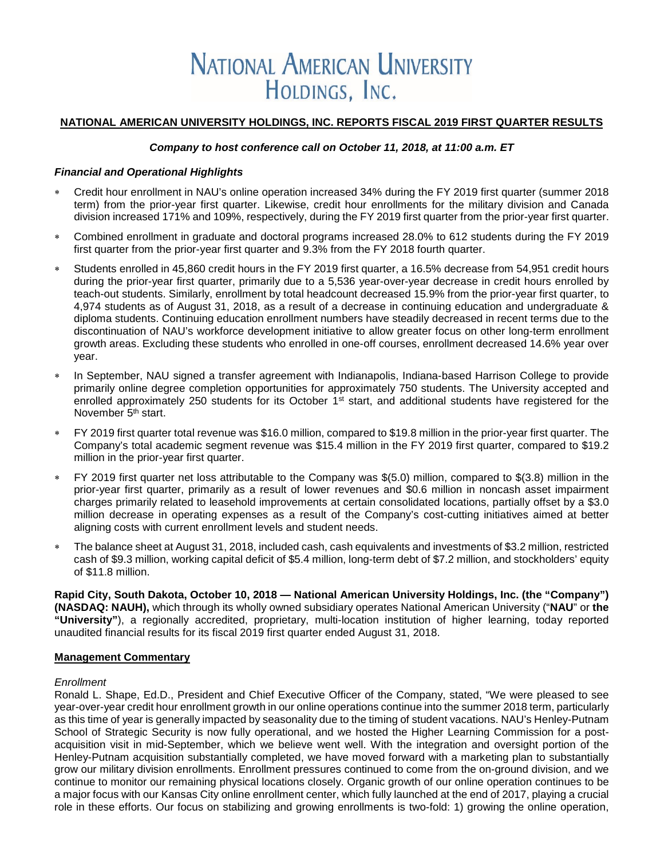# **NATIONAL AMERICAN UNIVERSITY** HOLDINGS, INC.

#### **NATIONAL AMERICAN UNIVERSITY HOLDINGS, INC. REPORTS FISCAL 2019 FIRST QUARTER RESULTS**

#### *Company to host conference call on October 11, 2018, at 11:00 a.m. ET*

#### *Financial and Operational Highlights*

- ∗ Credit hour enrollment in NAU's online operation increased 34% during the FY 2019 first quarter (summer 2018 term) from the prior-year first quarter. Likewise, credit hour enrollments for the military division and Canada division increased 171% and 109%, respectively, during the FY 2019 first quarter from the prior-year first quarter.
- ∗ Combined enrollment in graduate and doctoral programs increased 28.0% to 612 students during the FY 2019 first quarter from the prior-year first quarter and 9.3% from the FY 2018 fourth quarter.
- Students enrolled in 45,860 credit hours in the FY 2019 first quarter, a 16.5% decrease from 54,951 credit hours during the prior-year first quarter, primarily due to a 5,536 year-over-year decrease in credit hours enrolled by teach-out students. Similarly, enrollment by total headcount decreased 15.9% from the prior-year first quarter, to 4,974 students as of August 31, 2018, as a result of a decrease in continuing education and undergraduate & diploma students. Continuing education enrollment numbers have steadily decreased in recent terms due to the discontinuation of NAU's workforce development initiative to allow greater focus on other long-term enrollment growth areas. Excluding these students who enrolled in one-off courses, enrollment decreased 14.6% year over year.
- In September, NAU signed a transfer agreement with Indianapolis, Indiana-based Harrison College to provide primarily online degree completion opportunities for approximately 750 students. The University accepted and enrolled approximately 250 students for its October  $1<sup>st</sup>$  start, and additional students have registered for the November 5<sup>th</sup> start.
- FY 2019 first quarter total revenue was \$16.0 million, compared to \$19.8 million in the prior-year first quarter. The Company's total academic segment revenue was \$15.4 million in the FY 2019 first quarter, compared to \$19.2 million in the prior-year first quarter.
- ∗ FY 2019 first quarter net loss attributable to the Company was \$(5.0) million, compared to \$(3.8) million in the prior-year first quarter, primarily as a result of lower revenues and \$0.6 million in noncash asset impairment charges primarily related to leasehold improvements at certain consolidated locations, partially offset by a \$3.0 million decrease in operating expenses as a result of the Company's cost-cutting initiatives aimed at better aligning costs with current enrollment levels and student needs.
- The balance sheet at August 31, 2018, included cash, cash equivalents and investments of \$3.2 million, restricted cash of \$9.3 million, working capital deficit of \$5.4 million, long-term debt of \$7.2 million, and stockholders' equity of \$11.8 million.

**Rapid City, South Dakota, October 10, 2018 — National American University Holdings, Inc. (the "Company") (NASDAQ: NAUH),** which through its wholly owned subsidiary operates National American University ("**NAU**" or **the "University"**), a regionally accredited, proprietary, multi-location institution of higher learning, today reported unaudited financial results for its fiscal 2019 first quarter ended August 31, 2018.

#### **Management Commentary**

#### *Enrollment*

Ronald L. Shape, Ed.D., President and Chief Executive Officer of the Company, stated, "We were pleased to see year-over-year credit hour enrollment growth in our online operations continue into the summer 2018 term, particularly as this time of year is generally impacted by seasonality due to the timing of student vacations. NAU's Henley-Putnam School of Strategic Security is now fully operational, and we hosted the Higher Learning Commission for a postacquisition visit in mid-September, which we believe went well. With the integration and oversight portion of the Henley-Putnam acquisition substantially completed, we have moved forward with a marketing plan to substantially grow our military division enrollments. Enrollment pressures continued to come from the on-ground division, and we continue to monitor our remaining physical locations closely. Organic growth of our online operation continues to be a major focus with our Kansas City online enrollment center, which fully launched at the end of 2017, playing a crucial role in these efforts. Our focus on stabilizing and growing enrollments is two-fold: 1) growing the online operation,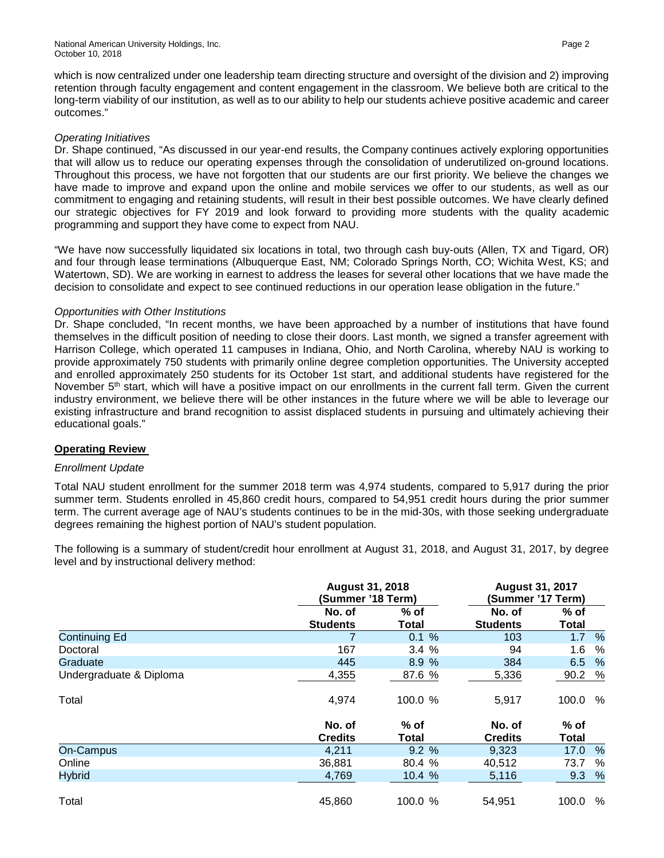which is now centralized under one leadership team directing structure and oversight of the division and 2) improving retention through faculty engagement and content engagement in the classroom. We believe both are critical to the long-term viability of our institution, as well as to our ability to help our students achieve positive academic and career outcomes."

#### *Operating Initiatives*

Dr. Shape continued, "As discussed in our year-end results, the Company continues actively exploring opportunities that will allow us to reduce our operating expenses through the consolidation of underutilized on-ground locations. Throughout this process, we have not forgotten that our students are our first priority. We believe the changes we have made to improve and expand upon the online and mobile services we offer to our students, as well as our commitment to engaging and retaining students, will result in their best possible outcomes. We have clearly defined our strategic objectives for FY 2019 and look forward to providing more students with the quality academic programming and support they have come to expect from NAU.

"We have now successfully liquidated six locations in total, two through cash buy-outs (Allen, TX and Tigard, OR) and four through lease terminations (Albuquerque East, NM; Colorado Springs North, CO; Wichita West, KS; and Watertown, SD). We are working in earnest to address the leases for several other locations that we have made the decision to consolidate and expect to see continued reductions in our operation lease obligation in the future."

#### *Opportunities with Other Institutions*

Dr. Shape concluded, "In recent months, we have been approached by a number of institutions that have found themselves in the difficult position of needing to close their doors. Last month, we signed a transfer agreement with Harrison College, which operated 11 campuses in Indiana, Ohio, and North Carolina, whereby NAU is working to provide approximately 750 students with primarily online degree completion opportunities. The University accepted and enrolled approximately 250 students for its October 1st start, and additional students have registered for the November 5<sup>th</sup> start, which will have a positive impact on our enrollments in the current fall term. Given the current industry environment, we believe there will be other instances in the future where we will be able to leverage our existing infrastructure and brand recognition to assist displaced students in pursuing and ultimately achieving their educational goals."

#### **Operating Review**

#### *Enrollment Update*

Total NAU student enrollment for the summer 2018 term was 4,974 students, compared to 5,917 during the prior summer term. Students enrolled in 45,860 credit hours, compared to 54,951 credit hours during the prior summer term. The current average age of NAU's students continues to be in the mid-30s, with those seeking undergraduate degrees remaining the highest portion of NAU's student population.

The following is a summary of student/credit hour enrollment at August 31, 2018, and August 31, 2017, by degree level and by instructional delivery method:

|                         |                           | <b>August 31, 2018</b><br>(Summer '18 Term) |                           | <b>August 31, 2017</b><br>(Summer '17 Term) |
|-------------------------|---------------------------|---------------------------------------------|---------------------------|---------------------------------------------|
|                         | No. of<br><b>Students</b> | $%$ of<br><b>Total</b>                      | No. of<br><b>Students</b> | $%$ of<br>Total                             |
| <b>Continuing Ed</b>    | 7                         | 0.1%                                        | 103                       | $\frac{9}{6}$<br>1.7                        |
| Doctoral                | 167                       | 3.4%                                        | 94                        | 1.6<br>%                                    |
| Graduate                | 445                       | 8.9%                                        | 384                       | $\frac{9}{6}$<br>6.5                        |
| Undergraduate & Diploma | 4,355                     | 87.6 %                                      | 5,336                     | %<br>90.2                                   |
| Total                   | 4,974                     | 100.0 %                                     | 5,917                     | %<br>100.0                                  |
|                         | No. of<br><b>Credits</b>  | % of<br>Total                               | No. of<br><b>Credits</b>  | $%$ of<br>Total                             |
| On-Campus               | 4,211                     | 9.2%                                        | 9,323                     | 17.0<br>$\%$                                |
| Online                  | 36,881                    | 80.4 %                                      | 40,512                    | %<br>73.7                                   |
| <b>Hybrid</b>           | 4,769                     | 10.4 %                                      | 5,116                     | %<br>9.3                                    |
| Total                   | 45,860                    | 100.0 %                                     | 54,951                    | %<br>100.0                                  |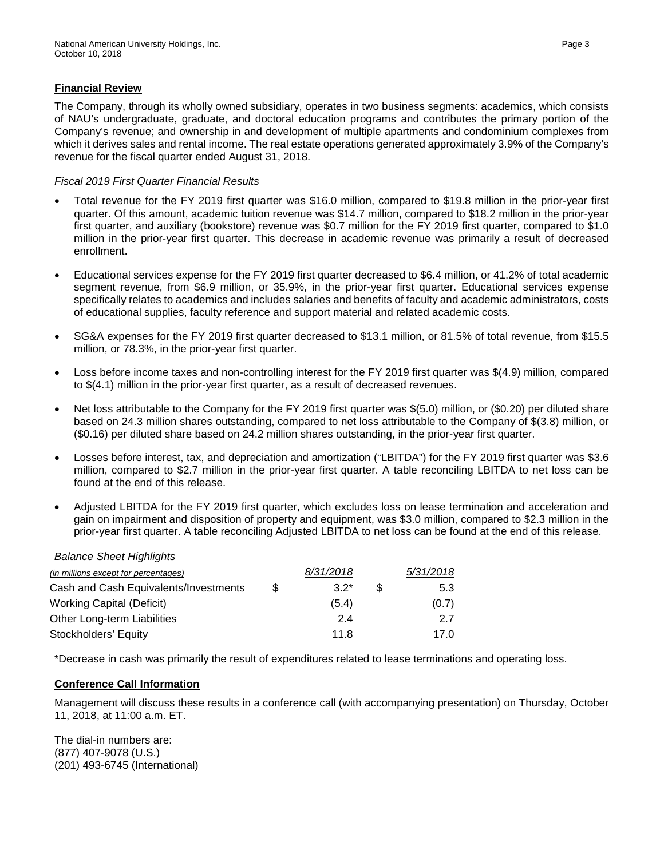#### **Financial Review**

The Company, through its wholly owned subsidiary, operates in two business segments: academics, which consists of NAU's undergraduate, graduate, and doctoral education programs and contributes the primary portion of the Company's revenue; and ownership in and development of multiple apartments and condominium complexes from which it derives sales and rental income. The real estate operations generated approximately 3.9% of the Company's revenue for the fiscal quarter ended August 31, 2018.

#### *Fiscal 2019 First Quarter Financial Results*

- Total revenue for the FY 2019 first quarter was \$16.0 million, compared to \$19.8 million in the prior-year first quarter. Of this amount, academic tuition revenue was \$14.7 million, compared to \$18.2 million in the prior-year first quarter, and auxiliary (bookstore) revenue was \$0.7 million for the FY 2019 first quarter, compared to \$1.0 million in the prior-year first quarter. This decrease in academic revenue was primarily a result of decreased enrollment.
- Educational services expense for the FY 2019 first quarter decreased to \$6.4 million, or 41.2% of total academic segment revenue, from \$6.9 million, or 35.9%, in the prior-year first quarter. Educational services expense specifically relates to academics and includes salaries and benefits of faculty and academic administrators, costs of educational supplies, faculty reference and support material and related academic costs.
- SG&A expenses for the FY 2019 first quarter decreased to \$13.1 million, or 81.5% of total revenue, from \$15.5 million, or 78.3%, in the prior-year first quarter.
- Loss before income taxes and non-controlling interest for the FY 2019 first quarter was \$(4.9) million, compared to \$(4.1) million in the prior-year first quarter, as a result of decreased revenues.
- Net loss attributable to the Company for the FY 2019 first quarter was \$(5.0) million, or (\$0.20) per diluted share based on 24.3 million shares outstanding, compared to net loss attributable to the Company of \$(3.8) million, or (\$0.16) per diluted share based on 24.2 million shares outstanding, in the prior-year first quarter.
- Losses before interest, tax, and depreciation and amortization ("LBITDA") for the FY 2019 first quarter was \$3.6 million, compared to \$2.7 million in the prior-year first quarter. A table reconciling LBITDA to net loss can be found at the end of this release.
- Adjusted LBITDA for the FY 2019 first quarter, which excludes loss on lease termination and acceleration and gain on impairment and disposition of property and equipment, was \$3.0 million, compared to \$2.3 million in the prior-year first quarter. A table reconciling Adjusted LBITDA to net loss can be found at the end of this release.

#### *Balance Sheet Highlights*

| (in millions except for percentages)  |     | 8/31/2018 |    | 5/31/2018 |
|---------------------------------------|-----|-----------|----|-----------|
| Cash and Cash Equivalents/Investments | \$. | $3.2^*$   | æ. | 5.3       |
| <b>Working Capital (Deficit)</b>      |     | (5.4)     |    | (0.7)     |
| Other Long-term Liabilities           |     | 2.4       |    | 27        |
| Stockholders' Equity                  |     | 11.8      |    | 17.0      |

\*Decrease in cash was primarily the result of expenditures related to lease terminations and operating loss.

#### **Conference Call Information**

Management will discuss these results in a conference call (with accompanying presentation) on Thursday, October 11, 2018, at 11:00 a.m. ET.

The dial-in numbers are: (877) 407-9078 (U.S.) (201) 493-6745 (International)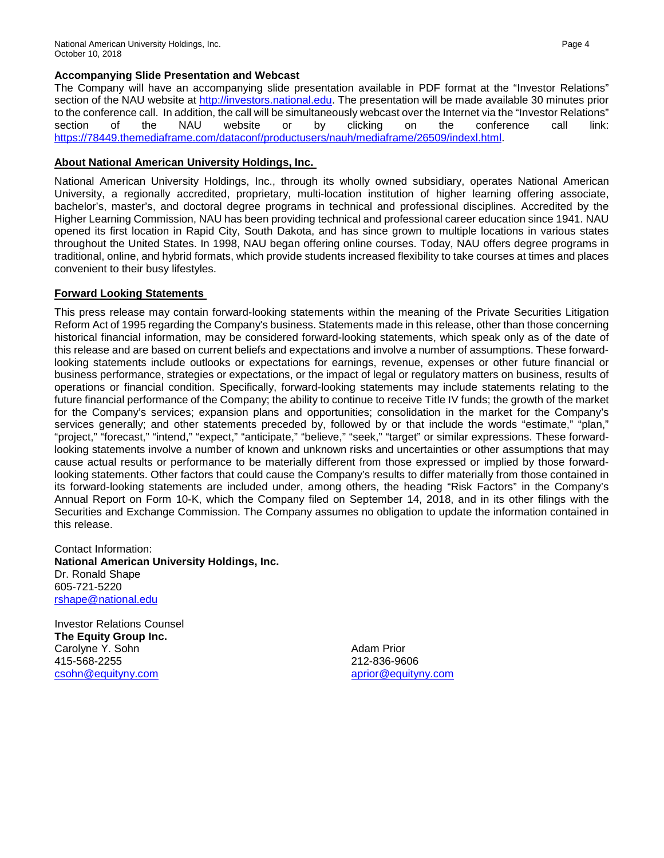The Company will have an accompanying slide presentation available in PDF format at the "Investor Relations" section of the NAU website at [http://investors.national.edu.](http://investors.national.edu/) The presentation will be made available 30 minutes prior to the conference call. In addition, the call will be simultaneously webcast over the Internet via the "Investor Relations" section of the NAU website or by clicking on the conference call link: [https://78449.themediaframe.com/dataconf/productusers/nauh/mediaframe/26509/indexl.html.](https://78449.themediaframe.com/dataconf/productusers/nauh/mediaframe/26509/indexl.html)

#### **About National American University Holdings, Inc.**

National American University Holdings, Inc., through its wholly owned subsidiary, operates National American University, a regionally accredited, proprietary, multi-location institution of higher learning offering associate, bachelor's, master's, and doctoral degree programs in technical and professional disciplines. Accredited by the Higher Learning Commission, NAU has been providing technical and professional career education since 1941. NAU opened its first location in Rapid City, South Dakota, and has since grown to multiple locations in various states throughout the United States. In 1998, NAU began offering online courses. Today, NAU offers degree programs in traditional, online, and hybrid formats, which provide students increased flexibility to take courses at times and places convenient to their busy lifestyles.

### **Forward Looking Statements**

This press release may contain forward-looking statements within the meaning of the Private Securities Litigation Reform Act of 1995 regarding the Company's business. Statements made in this release, other than those concerning historical financial information, may be considered forward-looking statements, which speak only as of the date of this release and are based on current beliefs and expectations and involve a number of assumptions. These forwardlooking statements include outlooks or expectations for earnings, revenue, expenses or other future financial or business performance, strategies or expectations, or the impact of legal or regulatory matters on business, results of operations or financial condition. Specifically, forward-looking statements may include statements relating to the future financial performance of the Company; the ability to continue to receive Title IV funds; the growth of the market for the Company's services; expansion plans and opportunities; consolidation in the market for the Company's services generally; and other statements preceded by, followed by or that include the words "estimate," "plan," "project," "forecast," "intend," "expect," "anticipate," "believe," "seek," "target" or similar expressions. These forwardlooking statements involve a number of known and unknown risks and uncertainties or other assumptions that may cause actual results or performance to be materially different from those expressed or implied by those forwardlooking statements. Other factors that could cause the Company's results to differ materially from those contained in its forward-looking statements are included under, among others, the heading "Risk Factors" in the Company's Annual Report on Form 10-K, which the Company filed on September 14, 2018, and in its other filings with the Securities and Exchange Commission. The Company assumes no obligation to update the information contained in this release.

Contact Information: **National American University Holdings, Inc.** Dr. Ronald Shape 605-721-5220 [rshape@national.edu](mailto:rshape@national.edu)

Investor Relations Counsel **The Equity Group Inc.** Carolyne Y. Sohn 415-568-2255 [csohn@equityny.com](mailto:csohn@equityny.com)

Adam Prior 212-836-9606 [aprior@equityny.com](mailto:aprior@equityny.com)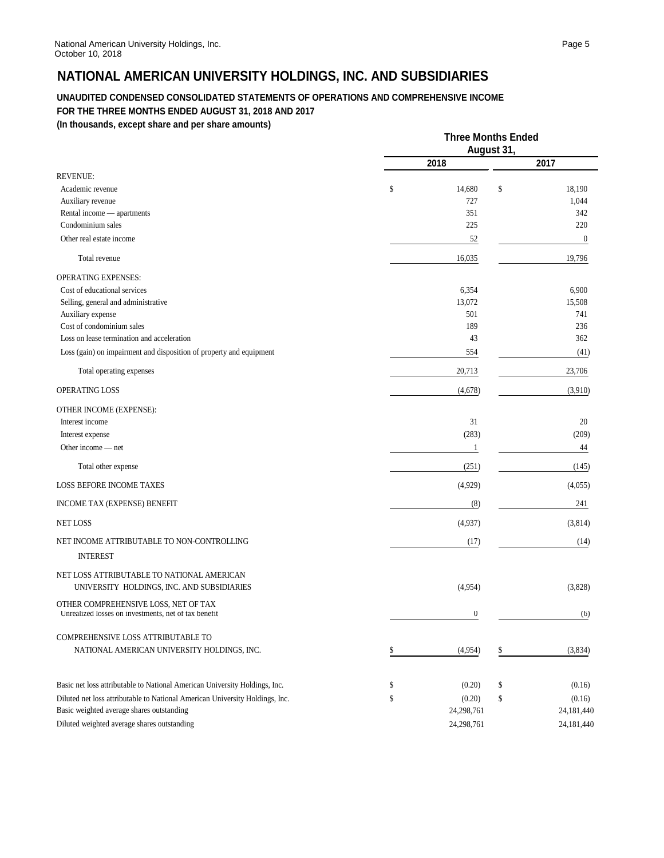# **NATIONAL AMERICAN UNIVERSITY HOLDINGS, INC. AND SUBSIDIARIES**

#### **UNAUDITED CONDENSED CONSOLIDATED STATEMENTS OF OPERATIONS AND COMPREHENSIVE INCOME FOR THE THREE MONTHS ENDED AUGUST 31, 2018 AND 2017**

**(In thousands, except share and per share amounts)**

|                                                                                              | <b>Three Months Ended</b><br>August 31, |                  |    |                  |
|----------------------------------------------------------------------------------------------|-----------------------------------------|------------------|----|------------------|
|                                                                                              |                                         | 2018             |    | 2017             |
| <b>REVENUE:</b><br>Academic revenue                                                          | \$                                      | 14,680           | \$ | 18,190           |
| Auxiliary revenue                                                                            |                                         | 727              |    | 1,044            |
| Rental income — apartments                                                                   |                                         | 351              |    | 342              |
| Condominium sales                                                                            |                                         | 225              |    | 220              |
| Other real estate income                                                                     |                                         | 52               |    | $\boldsymbol{0}$ |
| Total revenue                                                                                |                                         | 16,035           |    | 19,796           |
| <b>OPERATING EXPENSES:</b>                                                                   |                                         |                  |    |                  |
| Cost of educational services                                                                 |                                         | 6,354            |    | 6,900            |
| Selling, general and administrative                                                          |                                         | 13,072           |    | 15,508           |
| Auxiliary expense<br>Cost of condominium sales                                               |                                         | 501<br>189       |    | 741<br>236       |
| Loss on lease termination and acceleration                                                   |                                         | 43               |    | 362              |
| Loss (gain) on impairment and disposition of property and equipment                          |                                         | 554              |    | (41)             |
| Total operating expenses                                                                     |                                         | 20,713           |    | 23,706           |
| OPERATING LOSS                                                                               |                                         | (4,678)          |    | (3,910)          |
| OTHER INCOME (EXPENSE):                                                                      |                                         |                  |    |                  |
| Interest income                                                                              |                                         | 31               |    | 20               |
| Interest expense                                                                             |                                         | (283)            |    | (209)            |
| Other income — net                                                                           |                                         | $\mathbf{1}$     |    | 44               |
| Total other expense                                                                          |                                         | (251)            |    | (145)            |
| <b>LOSS BEFORE INCOME TAXES</b>                                                              |                                         | (4,929)          |    | (4,055)          |
| INCOME TAX (EXPENSE) BENEFIT                                                                 |                                         | (8)              |    | 241              |
| <b>NET LOSS</b>                                                                              |                                         | (4,937)          |    | (3,814)          |
| NET INCOME ATTRIBUTABLE TO NON-CONTROLLING<br><b>INTEREST</b>                                |                                         | (17)             |    | (14)             |
| NET LOSS ATTRIBUTABLE TO NATIONAL AMERICAN<br>UNIVERSITY HOLDINGS, INC. AND SUBSIDIARIES     |                                         | (4,954)          |    | (3,828)          |
| OTHER COMPREHENSIVE LOSS, NET OF TAX<br>Unrealized losses on investments, net of tax benefit |                                         | $\boldsymbol{0}$ |    | (6)              |
| COMPREHENSIVE LOSS ATTRIBUTABLE TO<br>NATIONAL AMERICAN UNIVERSITY HOLDINGS, INC.            | \$                                      | (4,954)          | \$ | (3,834)          |
| Basic net loss attributable to National American University Holdings, Inc.                   | \$                                      | (0.20)           | \$ | (0.16)           |
| Diluted net loss attributable to National American University Holdings, Inc.                 | \$                                      | (0.20)           | \$ | (0.16)           |
| Basic weighted average shares outstanding                                                    |                                         | 24,298,761       |    | 24,181,440       |
| Diluted weighted average shares outstanding                                                  |                                         | 24,298,761       |    | 24,181,440       |
|                                                                                              |                                         |                  |    |                  |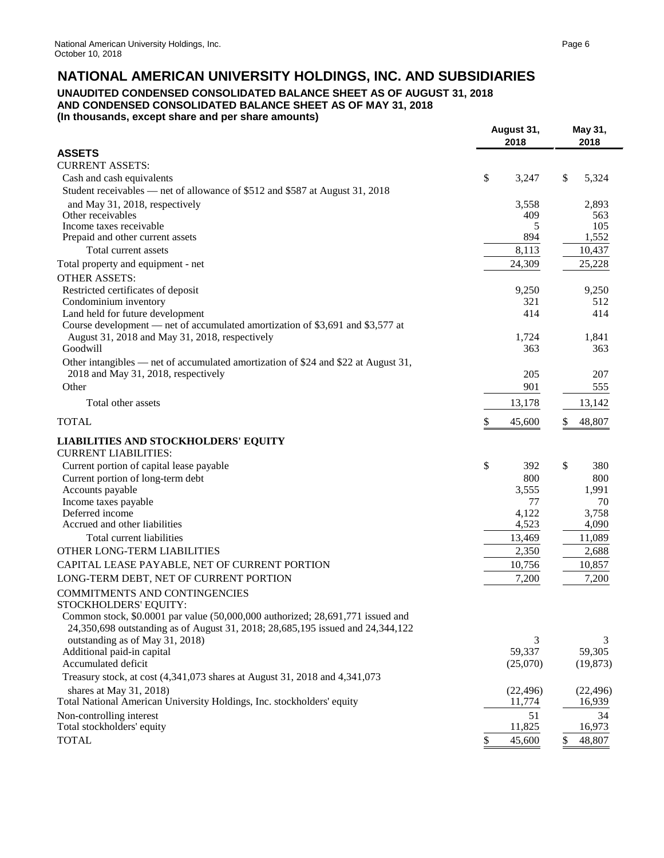## **UNAUDITED CONDENSED CONSOLIDATED BALANCE SHEET AS OF AUGUST 31, 2018 AND CONDENSED CONSOLIDATED BALANCE SHEET AS OF MAY 31, 2018**

**(In thousands, except share and per share amounts)**

|                                                                                                      | August 31,          | May 31,             |
|------------------------------------------------------------------------------------------------------|---------------------|---------------------|
| <b>ASSETS</b>                                                                                        | 2018                | 2018                |
| <b>CURRENT ASSETS:</b>                                                                               |                     |                     |
| Cash and cash equivalents                                                                            | \$<br>3,247         | \$<br>5,324         |
| Student receivables — net of allowance of \$512 and \$587 at August 31, 2018                         |                     |                     |
| and May 31, 2018, respectively                                                                       | 3,558               | 2,893               |
| Other receivables                                                                                    | 409                 | 563                 |
| Income taxes receivable                                                                              | 5                   | 105                 |
| Prepaid and other current assets                                                                     | 894                 | 1,552               |
| Total current assets                                                                                 | 8,113               | 10,437              |
| Total property and equipment - net                                                                   | 24,309              | 25,228              |
| <b>OTHER ASSETS:</b>                                                                                 |                     |                     |
| Restricted certificates of deposit                                                                   | 9,250               | 9,250               |
| Condominium inventory                                                                                | 321                 | 512                 |
| Land held for future development                                                                     | 414                 | 414                 |
| Course development - net of accumulated amortization of \$3,691 and \$3,577 at                       |                     |                     |
| August 31, 2018 and May 31, 2018, respectively<br>Goodwill                                           | 1,724<br>363        | 1,841<br>363        |
| Other intangibles — net of accumulated amortization of \$24 and \$22 at August 31,                   |                     |                     |
| 2018 and May 31, 2018, respectively                                                                  | 205                 | 207                 |
| Other                                                                                                | 901                 | 555                 |
|                                                                                                      |                     |                     |
| Total other assets                                                                                   | 13,178              | 13,142              |
| <b>TOTAL</b>                                                                                         | \$<br>45,600        | \$<br>48,807        |
| <b>LIABILITIES AND STOCKHOLDERS' EQUITY</b>                                                          |                     |                     |
| <b>CURRENT LIABILITIES:</b>                                                                          |                     |                     |
| Current portion of capital lease payable                                                             | \$<br>392           | \$<br>380           |
| Current portion of long-term debt                                                                    | 800                 | 800                 |
| Accounts payable                                                                                     | 3,555               | 1,991               |
| Income taxes payable                                                                                 | 77                  | 70                  |
| Deferred income                                                                                      | 4,122               | 3,758               |
| Accrued and other liabilities                                                                        | 4,523               | 4,090               |
| Total current liabilities                                                                            | 13,469              | 11,089              |
| OTHER LONG-TERM LIABILITIES                                                                          | 2,350               | 2,688               |
| CAPITAL LEASE PAYABLE, NET OF CURRENT PORTION                                                        | 10,756              | 10,857              |
| LONG-TERM DEBT, NET OF CURRENT PORTION                                                               | 7,200               | 7,200               |
| COMMITMENTS AND CONTINGENCIES                                                                        |                     |                     |
| STOCKHOLDERS' EQUITY:                                                                                |                     |                     |
| Common stock, $$0.0001$ par value $(50,000,000)$ authorized; $28,691,771$ issued and                 |                     |                     |
| 24,350,698 outstanding as of August 31, 2018; 28,685,195 issued and 24,344,122                       |                     |                     |
| outstanding as of May 31, 2018)<br>Additional paid-in capital                                        | 3<br>59,337         | 3<br>59,305         |
| Accumulated deficit                                                                                  | (25,070)            | (19, 873)           |
| Treasury stock, at cost (4,341,073 shares at August 31, 2018 and 4,341,073                           |                     |                     |
|                                                                                                      |                     |                     |
| shares at May $31, 2018$ )<br>Total National American University Holdings, Inc. stockholders' equity | (22, 496)<br>11,774 | (22, 496)<br>16,939 |
| Non-controlling interest                                                                             | 51                  | 34                  |
| Total stockholders' equity                                                                           | 11,825              | 16,973              |
| <b>TOTAL</b>                                                                                         | \$<br>45,600        | \$<br>48,807        |
|                                                                                                      |                     |                     |